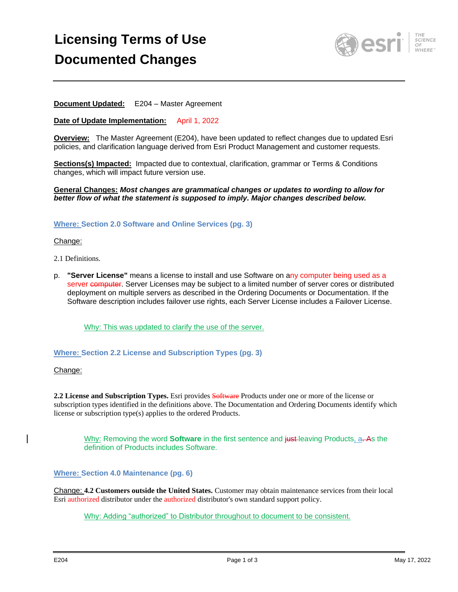# **Licensing Terms of Use Documented Changes**



## **Document Updated:** E204 – Master Agreement

#### **Date of Update Implementation:** April 1, 2022

**Overview:** The Master Agreement (E204), have been updated to reflect changes due to updated Esri policies, and clarification language derived from Esri Product Management and customer requests.

**Sections(s) Impacted:** Impacted due to contextual, clarification, grammar or Terms & Conditions changes, which will impact future version use.

**General Changes:** *Most changes are grammatical changes or updates to wording to allow for better flow of what the statement is supposed to imply. Major changes described below.*

#### **Where: Section 2.0 Software and Online Services (pg. 3)**

#### Change:

- 2.1 Definitions.
- p. **"Server License"** means a license to install and use Software on any computer being used as a server computer. Server Licenses may be subject to a limited number of server cores or distributed deployment on multiple servers as described in the Ordering Documents or Documentation. If the Software description includes failover use rights, each Server License includes a Failover License.

Why: This was updated to clarify the use of the server.

### **Where: Section 2.2 License and Subscription Types (pg. 3)**

#### Change:

**2.2 License and Subscription Types.** Esri provides Software Products under one or more of the license or subscription types identified in the definitions above. The Documentation and Ordering Documents identify which license or subscription type(s) applies to the ordered Products.

Why: Removing the word **Software** in the first sentence and just leaving Products, a. As the definition of Products includes Software.

### **Where: Section 4.0 Maintenance (pg. 6)**

Change: **4.2 Customers outside the United States.** Customer may obtain maintenance services from their local Esri authorized distributor under the authorized distributor's own standard support policy.

Why: Adding "authorized" to Distributor throughout to document to be consistent.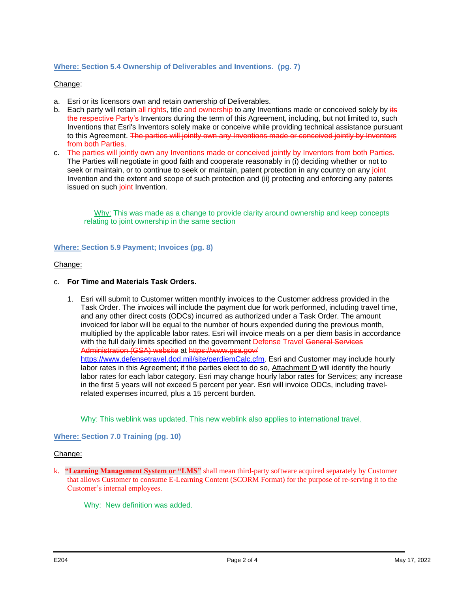## **Where: Section 5.4 Ownership of Deliverables and Inventions. (pg. 7)**

## Change:

- a. Esri or its licensors own and retain ownership of Deliverables.
- b. Each party will retain all rights, title and ownership to any Inventions made or conceived solely by its the respective Party's Inventors during the term of this Agreement, including, but not limited to, such Inventions that Esri's Inventors solely make or conceive while providing technical assistance pursuant to this Agreement. The parties will jointly own any Inventions made or conceived jointly by Inventors from both Parties.
- c. The parties will jointly own any Inventions made or conceived jointly by Inventors from both Parties. The Parties will negotiate in good faith and cooperate reasonably in (i) deciding whether or not to seek or maintain, or to continue to seek or maintain, patent protection in any country on any joint Invention and the extent and scope of such protection and (ii) protecting and enforcing any patents issued on such joint Invention.

Why: This was made as a change to provide clarity around ownership and keep concepts relating to joint ownership in the same section

### **Where: Section 5.9 Payment; Invoices (pg. 8)**

### Change:

### c. **For Time and Materials Task Orders.**

1. Esri will submit to Customer written monthly invoices to the Customer address provided in the Task Order. The invoices will include the payment due for work performed, including travel time, and any other direct costs (ODCs) incurred as authorized under a Task Order. The amount invoiced for labor will be equal to the number of hours expended during the previous month, multiplied by the applicable labor rates. Esri will invoice meals on a per diem basis in accordance with the full daily limits specified on the government Defense Travel General Services Administration (GSA) website at https://www.gsa.gov/ [https://www.defensetravel.dod.mil/site/perdiemCalc.cfm.](https://www.defensetravel.dod.mil/site/perdiemCalc.cfm) Esri and Customer may include hourly labor rates in this Agreement; if the parties elect to do so, Attachment D will identify the hourly labor rates for each labor category. Esri may change hourly labor rates for Services; any increase in the first 5 years will not exceed 5 percent per year. Esri will invoice ODCs, including travelrelated expenses incurred, plus a 15 percent burden.

Why: This weblink was updated. This new weblink also applies to international travel.

### **Where: Section 7.0 Training (pg. 10)**

### Change:

k. **"Learning Management System or "LMS"** shall mean third-party software acquired separately by Customer that allows Customer to consume E-Learning Content (SCORM Format) for the purpose of re-serving it to the Customer's internal employees.

Why: New definition was added.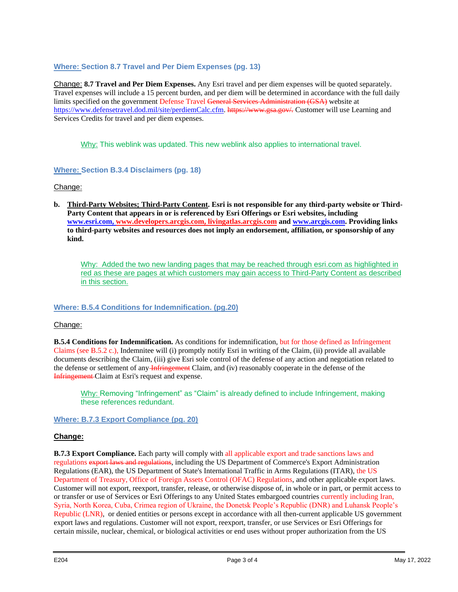## **Where: Section 8.7 Travel and Per Diem Expenses (pg. 13)**

Change: **8.7 Travel and Per Diem Expenses.** Any Esri travel and per diem expenses will be quoted separately. Travel expenses will include a 15 percent burden, and per diem will be determined in accordance with the full daily limits specified on the government Defense Travel General Services Administration (GSA) website at [https://www.defensetravel.dod.mil/site/perdiemCalc.cfm.](https://www.defensetravel.dod.mil/site/perdiemCalc.cfm) https://www.gsa.gov/. Customer will use Learning and Services Credits for travel and per diem expenses.

Why: This weblink was updated. This new weblink also applies to international travel.

## **Where: Section B.3.4 Disclaimers (pg. 18)**

## Change:

**b. Third-Party Websites; Third-Party Content. Esri is not responsible for any third-party website or Third-Party Content that appears in or is referenced by Esri Offerings or Esri websites, including [www.esri.com,](http://www.esri.com/) [www.developers.arcgis.com,](http://www.developers.arcgis.com/) livingatlas.arcgis.com and [www.arcgis.com.](http://www.arcgis.com/) Providing links to third-party websites and resources does not imply an endorsement, affiliation, or sponsorship of any kind.**

Why: Added the two new landing pages that may be reached through esri.com as highlighted in red as these are pages at which customers may gain access to Third-Party Content as described in this section.

## **Where: B.5.4 Conditions for Indemnification. (pg.20)**

## Change:

**B.5.4 Conditions for Indemnification.** As conditions for indemnification, but for those defined as Infringement Claims (see B.5.2 c.), Indemnitee will (i) promptly notify Esri in writing of the Claim, (ii) provide all available documents describing the Claim, (iii) give Esri sole control of the defense of any action and negotiation related to the defense or settlement of any Infringement Claim, and (iv) reasonably cooperate in the defense of the Infringement Claim at Esri's request and expense.

Why: Removing "Infringement" as "Claim" is already defined to include Infringement, making these references redundant.

**Where: B.7.3 Export Compliance (pg. 20)**

# **Change:**

**B.7.3 Export Compliance.** Each party will comply with all applicable export and trade sanctions laws and regulations export laws and regulations, including the US Department of Commerce's Export Administration Regulations (EAR), the US Department of State's International Traffic in Arms Regulations (ITAR), the US Department of Treasury, Office of Foreign Assets Control (OFAC) Regulations, and other applicable export laws. Customer will not export, reexport, transfer, release, or otherwise dispose of, in whole or in part, or permit access to or transfer or use of Services or Esri Offerings to any United States embargoed countries currently including Iran, Syria, North Korea, Cuba, Crimea region of Ukraine, the Donetsk People's Republic (DNR) and Luhansk People's Republic (LNR), or denied entities or persons except in accordance with all then-current applicable US government export laws and regulations. Customer will not export, reexport, transfer, or use Services or Esri Offerings for certain missile, nuclear, chemical, or biological activities or end uses without proper authorization from the US